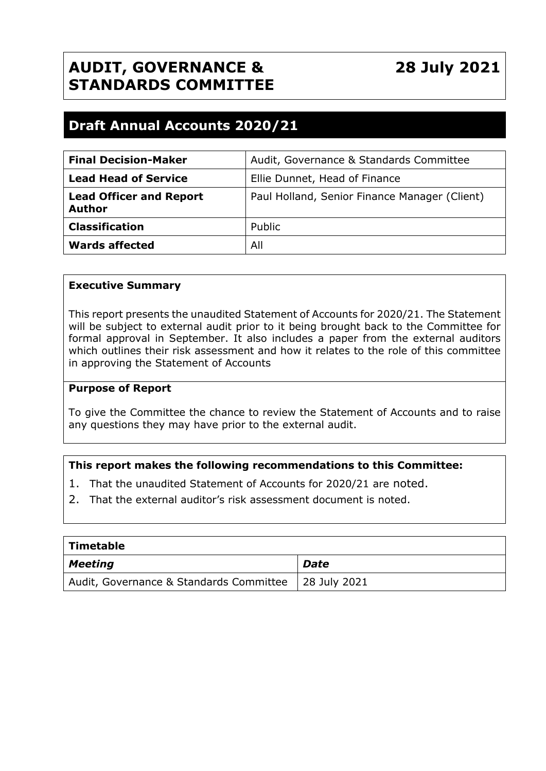# **AUDIT, GOVERNANCE & STANDARDS COMMITTEE**

# **Draft Annual Accounts 2020/21**

| <b>Final Decision-Maker</b>                     | Audit, Governance & Standards Committee       |
|-------------------------------------------------|-----------------------------------------------|
| <b>Lead Head of Service</b>                     | Ellie Dunnet, Head of Finance                 |
| <b>Lead Officer and Report</b><br><b>Author</b> | Paul Holland, Senior Finance Manager (Client) |
| <b>Classification</b>                           | Public                                        |
| <b>Wards affected</b>                           | All                                           |

## **Executive Summary**

This report presents the unaudited Statement of Accounts for 2020/21. The Statement will be subject to external audit prior to it being brought back to the Committee for formal approval in September. It also includes a paper from the external auditors which outlines their risk assessment and how it relates to the role of this committee in approving the Statement of Accounts

#### **Purpose of Report**

To give the Committee the chance to review the Statement of Accounts and to raise any questions they may have prior to the external audit.

## **This report makes the following recommendations to this Committee:**

- 1. That the unaudited Statement of Accounts for 2020/21 are noted.
- 2. That the external auditor's risk assessment document is noted.

| Timetable                                              |             |
|--------------------------------------------------------|-------------|
| Meeting                                                | <b>Date</b> |
| Audit, Governance & Standards Committee   28 July 2021 |             |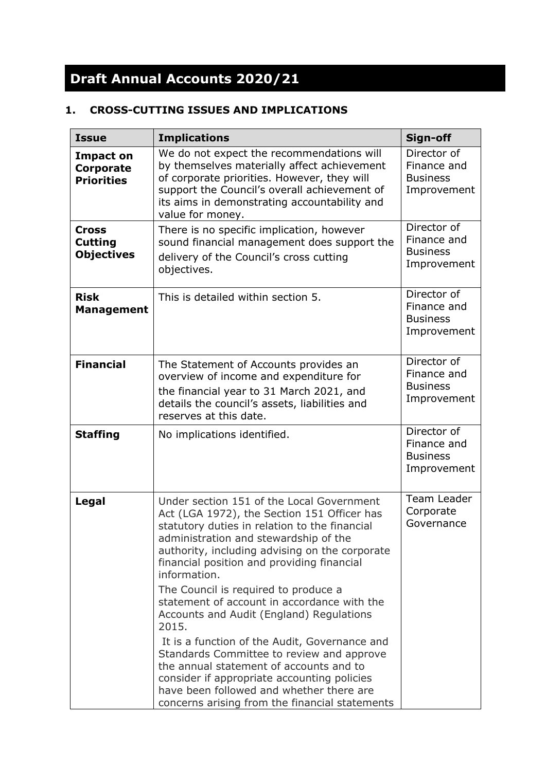# **Draft Annual Accounts 2020/21**

# **1. CROSS-CUTTING ISSUES AND IMPLICATIONS**

| <b>Issue</b>                                              | <b>Implications</b>                                                                                                                                                                                                                                                                                                                                                                                                                                                                                                                                                                                                                                                                                                                  | Sign-off                                                     |
|-----------------------------------------------------------|--------------------------------------------------------------------------------------------------------------------------------------------------------------------------------------------------------------------------------------------------------------------------------------------------------------------------------------------------------------------------------------------------------------------------------------------------------------------------------------------------------------------------------------------------------------------------------------------------------------------------------------------------------------------------------------------------------------------------------------|--------------------------------------------------------------|
| <b>Impact on</b><br><b>Corporate</b><br><b>Priorities</b> | We do not expect the recommendations will<br>by themselves materially affect achievement<br>of corporate priorities. However, they will<br>support the Council's overall achievement of<br>its aims in demonstrating accountability and<br>value for money.                                                                                                                                                                                                                                                                                                                                                                                                                                                                          | Director of<br>Finance and<br><b>Business</b><br>Improvement |
| <b>Cross</b><br><b>Cutting</b><br><b>Objectives</b>       | There is no specific implication, however<br>sound financial management does support the<br>delivery of the Council's cross cutting<br>objectives.                                                                                                                                                                                                                                                                                                                                                                                                                                                                                                                                                                                   | Director of<br>Finance and<br><b>Business</b><br>Improvement |
| <b>Risk</b><br><b>Management</b>                          | This is detailed within section 5.                                                                                                                                                                                                                                                                                                                                                                                                                                                                                                                                                                                                                                                                                                   | Director of<br>Finance and<br><b>Business</b><br>Improvement |
| <b>Financial</b>                                          | The Statement of Accounts provides an<br>overview of income and expenditure for<br>the financial year to 31 March 2021, and<br>details the council's assets, liabilities and<br>reserves at this date.                                                                                                                                                                                                                                                                                                                                                                                                                                                                                                                               | Director of<br>Finance and<br><b>Business</b><br>Improvement |
| <b>Staffing</b>                                           | No implications identified.                                                                                                                                                                                                                                                                                                                                                                                                                                                                                                                                                                                                                                                                                                          | Director of<br>Finance and<br><b>Business</b><br>Improvement |
| Legal                                                     | Under section 151 of the Local Government<br>Act (LGA 1972), the Section 151 Officer has<br>statutory duties in relation to the financial<br>administration and stewardship of the<br>authority, including advising on the corporate<br>financial position and providing financial<br>information.<br>The Council is required to produce a<br>statement of account in accordance with the<br>Accounts and Audit (England) Regulations<br>2015.<br>It is a function of the Audit, Governance and<br>Standards Committee to review and approve<br>the annual statement of accounts and to<br>consider if appropriate accounting policies<br>have been followed and whether there are<br>concerns arising from the financial statements | Team Leader<br>Corporate<br>Governance                       |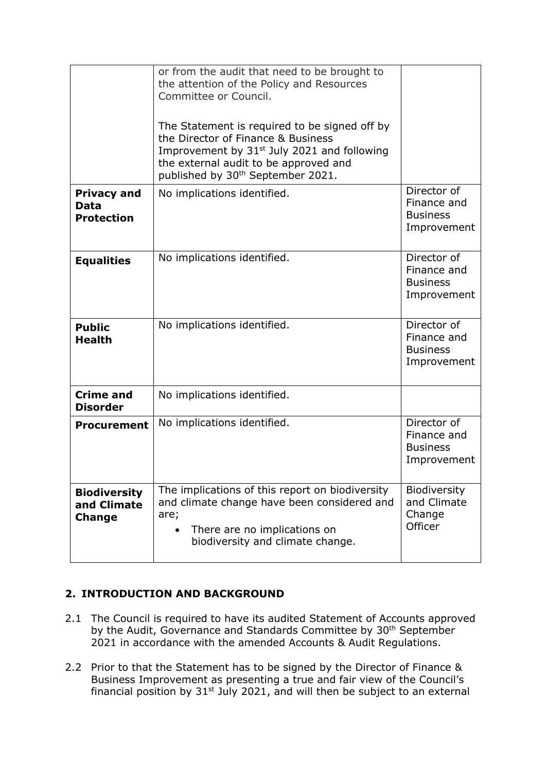|                                                     | or from the audit that need to be brought to<br>the attention of the Policy and Resources<br>Committee or Council.<br>The Statement is required to be signed off by<br>the Director of Finance & Business<br>Improvement by 31 <sup>st</sup> July 2021 and following<br>the external audit to be approved and<br>published by 30 <sup>th</sup> September 2021. |                                                              |
|-----------------------------------------------------|----------------------------------------------------------------------------------------------------------------------------------------------------------------------------------------------------------------------------------------------------------------------------------------------------------------------------------------------------------------|--------------------------------------------------------------|
| <b>Privacy and</b><br>Data<br><b>Protection</b>     | No implications identified.                                                                                                                                                                                                                                                                                                                                    | Director of<br>Finance and<br><b>Business</b><br>Improvement |
| <b>Equalities</b>                                   | No implications identified.                                                                                                                                                                                                                                                                                                                                    | Director of<br>Finance and<br><b>Business</b><br>Improvement |
| <b>Public</b><br><b>Health</b>                      | No implications identified.                                                                                                                                                                                                                                                                                                                                    | Director of<br>Finance and<br><b>Business</b><br>Improvement |
| <b>Crime and</b><br><b>Disorder</b>                 | No implications identified.                                                                                                                                                                                                                                                                                                                                    |                                                              |
| <b>Procurement</b>                                  | No implications identified.                                                                                                                                                                                                                                                                                                                                    | Director of<br>Finance and<br><b>Business</b><br>Improvement |
| <b>Biodiversity</b><br>and Climate<br><b>Change</b> | The implications of this report on biodiversity<br>and climate change have been considered and<br>are;<br>There are no implications on<br>biodiversity and climate change.                                                                                                                                                                                     | Biodiversity<br>and Climate<br>Change<br>Officer             |

# **2. INTRODUCTION AND BACKGROUND**

- 2.1 The Council is required to have its audited Statement of Accounts approved by the Audit, Governance and Standards Committee by 30<sup>th</sup> September 2021 in accordance with the amended Accounts & Audit Regulations.
- 2.2 Prior to that the Statement has to be signed by the Director of Finance & Business Improvement as presenting a true and fair view of the Council's financial position by  $31<sup>st</sup>$  July 2021, and will then be subject to an external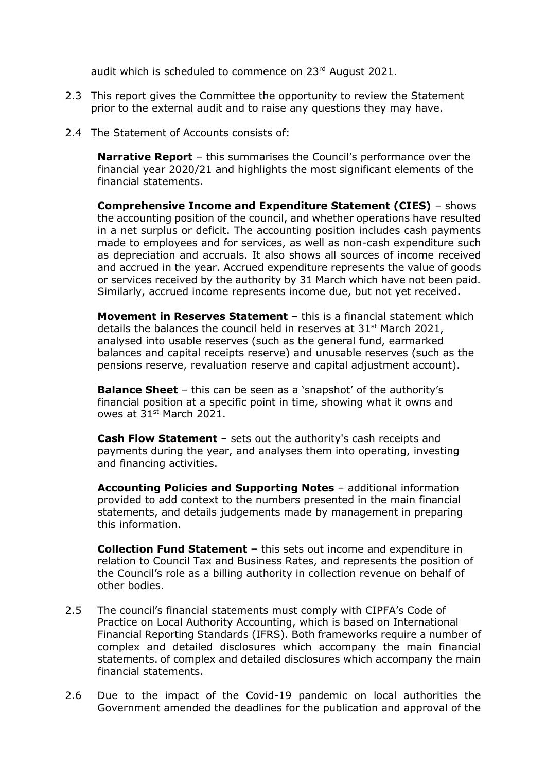audit which is scheduled to commence on 23<sup>rd</sup> August 2021.

- 2.3 This report gives the Committee the opportunity to review the Statement prior to the external audit and to raise any questions they may have.
- 2.4 The Statement of Accounts consists of:

**Narrative Report** – this summarises the Council's performance over the financial year 2020/21 and highlights the most significant elements of the financial statements.

**Comprehensive Income and Expenditure Statement (CIES)** – shows the accounting position of the council, and whether operations have resulted in a net surplus or deficit. The accounting position includes cash payments made to employees and for services, as well as non-cash expenditure such as depreciation and accruals. It also shows all sources of income received and accrued in the year. Accrued expenditure represents the value of goods or services received by the authority by 31 March which have not been paid. Similarly, accrued income represents income due, but not yet received.

**Movement in Reserves Statement** – this is a financial statement which details the balances the council held in reserves at  $31<sup>st</sup>$  March 2021, analysed into usable reserves (such as the general fund, earmarked balances and capital receipts reserve) and unusable reserves (such as the pensions reserve, revaluation reserve and capital adjustment account).

**Balance Sheet** – this can be seen as a 'snapshot' of the authority's financial position at a specific point in time, showing what it owns and owes at 31st March 2021.

**Cash Flow Statement** – sets out the authority's cash receipts and payments during the year, and analyses them into operating, investing and financing activities.

**Accounting Policies and Supporting Notes** – additional information provided to add context to the numbers presented in the main financial statements, and details judgements made by management in preparing this information.

**Collection Fund Statement –** this sets out income and expenditure in relation to Council Tax and Business Rates, and represents the position of the Council's role as a billing authority in collection revenue on behalf of other bodies.

- 2.5 The council's financial statements must comply with CIPFA's Code of Practice on Local Authority Accounting, which is based on International Financial Reporting Standards (IFRS). Both frameworks require a number of complex and detailed disclosures which accompany the main financial statements. of complex and detailed disclosures which accompany the main financial statements.
- 2.6 Due to the impact of the Covid-19 pandemic on local authorities the Government amended the deadlines for the publication and approval of the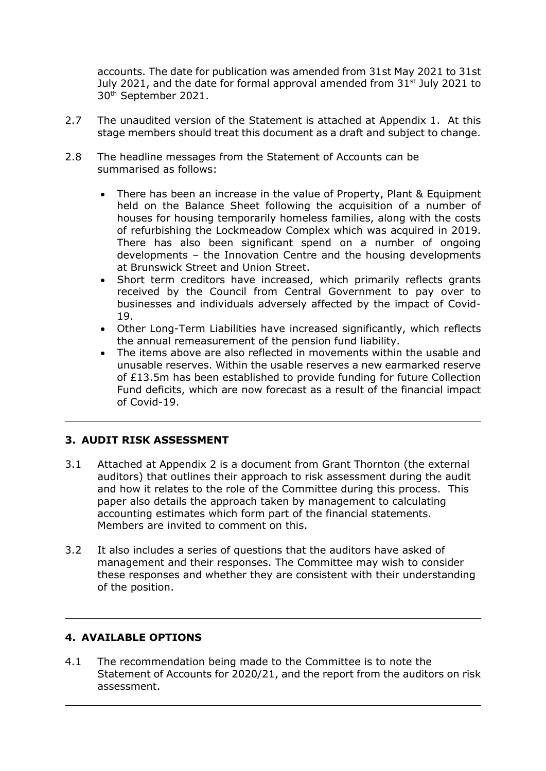accounts. The date for publication was amended from 31st May 2021 to 31st July 2021, and the date for formal approval amended from  $31<sup>st</sup>$  July 2021 to 30th September 2021.

- 2.7 The unaudited version of the Statement is attached at Appendix 1. At this stage members should treat this document as a draft and subject to change.
- 2.8 The headline messages from the Statement of Accounts can be summarised as follows:
	- There has been an increase in the value of Property, Plant & Equipment held on the Balance Sheet following the acquisition of a number of houses for housing temporarily homeless families, along with the costs of refurbishing the Lockmeadow Complex which was acquired in 2019. There has also been significant spend on a number of ongoing developments – the Innovation Centre and the housing developments at Brunswick Street and Union Street.
	- Short term creditors have increased, which primarily reflects grants received by the Council from Central Government to pay over to businesses and individuals adversely affected by the impact of Covid-19.
	- Other Long-Term Liabilities have increased significantly, which reflects the annual remeasurement of the pension fund liability.
	- The items above are also reflected in movements within the usable and unusable reserves. Within the usable reserves a new earmarked reserve of £13.5m has been established to provide funding for future Collection Fund deficits, which are now forecast as a result of the financial impact of Covid-19.

# **3. AUDIT RISK ASSESSMENT**

- 3.1 Attached at Appendix 2 is a document from Grant Thornton (the external auditors) that outlines their approach to risk assessment during the audit and how it relates to the role of the Committee during this process. This paper also details the approach taken by management to calculating accounting estimates which form part of the financial statements. Members are invited to comment on this.
- 3.2 It also includes a series of questions that the auditors have asked of management and their responses. The Committee may wish to consider these responses and whether they are consistent with their understanding of the position.

## **4. AVAILABLE OPTIONS**

4.1 The recommendation being made to the Committee is to note the Statement of Accounts for 2020/21, and the report from the auditors on risk assessment.